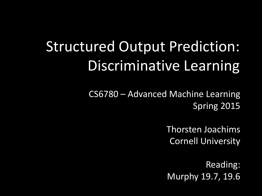## Structured Output Prediction: Discriminative Learning

CS6780 – Advanced Machine Learning Spring 2015

> Thorsten Joachims Cornell University

> Reading: Murphy 19.7, 19.6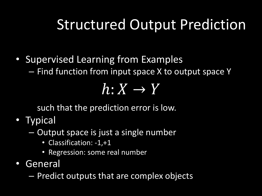#### Structured Output Prediction

• Supervised Learning from Examples – Find function from input space X to output space Y

 $h: X \rightarrow Y$ 

such that the prediction error is low.

- Typical
	- Output space is just a single number
		- Classification: -1,+1
		- Regression: some real number
- **General** 
	- Predict outputs that are complex objects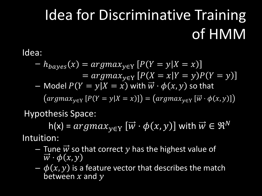# Idea for Discriminative Training of HMM

Idea:

 $-h_{bayes}(x) = argmax_{y \in Y} [P(Y = y | X = x$ – Model  $P(Y = y | X = x)$  with  $\vec{w} \cdot \phi(x, y)$  so that  $= argmax_{y \in Y} [P(X = x | Y = y) P(Y = y)]$  $\left( argmax_{y \in Y} [P(Y = y | X = x)] \right) = \left( argmax_{y \in Y} [\overrightarrow{w} \cdot \phi(x, y)] \right)$ 

Hypothesis Space:

 $h(x) = argmax_{y \in Y} [\overrightarrow{w} \cdot \phi(x, y)]$  with  $\overrightarrow{w} \in \mathbb{R}^N$ Intuition:

- Tune  $\vec{w}$  so that correct y has the highest value of  $\vec{w} \cdot \phi(x, y)$
- $-\phi(x, y)$  is a feature vector that describes the match between  $x$  and  $y$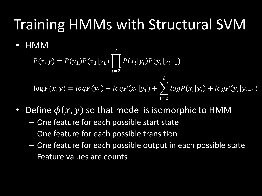#### Training HMMs with Structural SVM

• HMM

$$
P(x, y) = P(y_1)P(x_1|y_1) \prod_{i=2}^{l} P(x_i|y_i)P(y_i|y_{i-1})
$$
  

$$
\log P(x, y) = \log P(y_1) + \log P(x_1|y_1) + \sum_{i=2}^{l} \log P(x_i|y_i) + \log P(y_i|y_{i-1})
$$

- Define  $\phi(x, y)$  so that model is isomorphic to HMM
	- One feature for each possible start state
	- One feature for each possible transition
	- One feature for each possible output in each possible state
	- Feature values are counts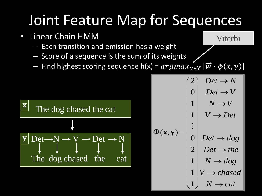#### Joint Feature Map for Sequences

- Linear Chain HMM
	- Each transition and emission has a weight
	- Score of a sequence is the sum of its weights
	- Find highest scoring sequence h(x) =  $argmax_{v \in Y} [\vec{w} \cdot \phi(x, y)]$

The dog chased the cat Det N V Det N The dog chased the cat **x y**

$$
\Phi(\mathbf{x}, \mathbf{y}) = \begin{pmatrix}\n2 \\
0 \\
1 \\
1 \\
N \rightarrow V \\
0 \\
\vdots \\
0 \\
Det \rightarrow det \\
1 \\
N \rightarrow Det\n\end{pmatrix}
$$
\n
$$
\Phi(\mathbf{x}, \mathbf{y}) = \begin{pmatrix}\n2 \\
1 \\
1 \\
0 \\
2 \\
Det \rightarrow dog \\
1 \\
N \rightarrow dog \\
1\n\end{pmatrix}
$$
\n
$$
Det \rightarrow the
$$
\n
$$
Det \rightarrow the
$$
\n
$$
Det \rightarrow the
$$
\n
$$
Det \rightarrow the
$$
\n
$$
Det \rightarrow the
$$
\n
$$
Det \rightarrow the
$$
\n
$$
Det \rightarrow the
$$
\n
$$
Det \rightarrow the
$$
\n
$$
Det \rightarrow the
$$
\n
$$
Det \rightarrow the
$$
\n
$$
Det \rightarrow the
$$
\n
$$
Det \rightarrow the
$$
\n
$$
Det \rightarrow the
$$
\n
$$
Det \rightarrow the
$$
\n
$$
Det \rightarrow the
$$
\n
$$
Det \rightarrow the
$$
\n
$$
Det \rightarrow the
$$
\n
$$
Det \rightarrow the
$$
\n
$$
Det \rightarrow the
$$
\n
$$
Det \rightarrow the
$$
\n
$$
Det \rightarrow the
$$
\n
$$
Det \rightarrow the
$$
\n
$$
Det \rightarrow the
$$
\n
$$
Det \rightarrow the
$$
\n
$$
Det \rightarrow the
$$
\n
$$
Det \rightarrow the
$$
\n
$$
Det \rightarrow the
$$
\n
$$
Det \rightarrow the
$$
\n
$$
Det \rightarrow the
$$
\n
$$
Det \rightarrow the
$$
\n
$$
Det \rightarrow the
$$
\n
$$
Det \rightarrow the
$$
\n
$$
Det \rightarrow the
$$
\n
$$
Det \rightarrow the
$$
\n
$$
Det \rightarrow the
$$
\n
$$
Det \rightarrow the
$$
\n
$$
Det \rightarrow the
$$
\n
$$
Det \rightarrow the
$$
\n
$$
Det \rightarrow the
$$
\n
$$
Det \rightarrow the
$$
\n
$$
Det \rightarrow the
$$
\n
$$
Det \rightarrow the
$$
\n
$$
D
$$

Viterbi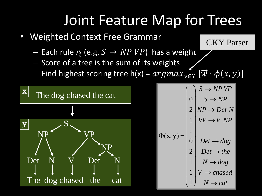#### Joint Feature Map for Trees

- Weighted Context Free Grammar
	- $-$  Each rule  $r_i$  (e.g.  $S \rightarrow NP \ VP$ ) has a weight
	- Score of a tree is the sum of its weights
	- Find highest scoring tree h(x) =  $argmax_{v \in Y} [\vec{w} \cdot \phi(x, y)]$



|                                  |                                     | $\overline{S}$<br>$\rightarrow NP VP$ |  |
|----------------------------------|-------------------------------------|---------------------------------------|--|
|                                  | $\overline{0}$                      | $S \rightarrow NP$                    |  |
|                                  | $\overline{2}$                      | $NP \rightarrow Det N$                |  |
|                                  | 1                                   | $VP \rightarrow VNP$                  |  |
|                                  | $\bullet$<br>$\bullet$<br>$\bullet$ |                                       |  |
| $\Phi(\mathbf{x}, \mathbf{y}) =$ | $\overline{0}$                      | $Det \rightarrow dog$                 |  |
|                                  | $\overline{2}$                      | $Det \rightarrow the$                 |  |
|                                  | $\mathbf 1$                         | $N \rightarrow dog$                   |  |
|                                  | 1                                   | $\rightarrow$ chased<br>$V_{-}$       |  |
|                                  |                                     | $\overline{N}$<br>$\rightarrow cat$   |  |

CKY Parser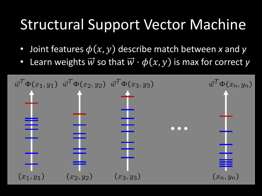#### Structural Support Vector Machine

- Joint features  $\phi(x, y)$  describe match between x and y
- Learn weights  $\vec{w}$  so that  $\vec{w} \cdot \phi(x, y)$  is max for correct y

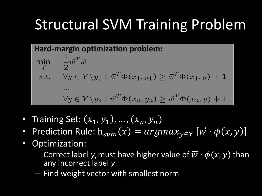### Structural SVM Training Problem

**Hard-margin optimization problem:**<br>  $\min_{\vec{w}} \quad \frac{1}{2} \vec{w}^T \vec{w}$ s.t.  $\forall y \in Y \setminus y_1 : \vec{w}^T \Phi(x_1, y_1) > \vec{w}^T \Phi(x_1, y) + 1$ 

$$
\forall y \in Y \setminus y_n : \vec{w}^T \Phi(x_n, y_n) \geq \vec{w}^T \Phi(x_n, y) + 1
$$

- Training Set:  $(x_1, y_1)$ , ...,  $(x_n, y_n)$
- Prediction Rule:  $h_{sym}(x) = argmax_{y \in Y} [\overrightarrow{w} \cdot \phi(x, y)]$
- Optimization:
	- Correct label *y<sub>i</sub>* must have higher value of  $\overrightarrow{w} \cdot \phi(x, y)$  than any incorrect label *y*
	- Find weight vector with smallest norm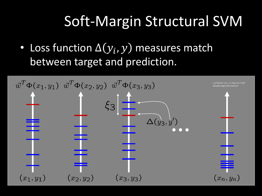#### Soft-Margin Structural SVM

• Loss function  $\Delta(y_i, y)$  measures match between target and prediction.

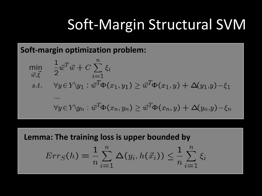#### Soft-Margin Structural SVM

**Soft-margin optimization problem:**

$$
\min_{\vec{w}, \vec{\xi}} \quad \frac{1}{2} \vec{w}^T \vec{w} + C \sum_{i=1}^n \xi_i
$$
\n
$$
s.t. \quad \forall y \in Y \setminus y_1 : \vec{w}^T \Phi(x_1, y_1) \ge \vec{w}^T \Phi(x_1, y) + \Delta(y_1, y) - \xi_1
$$
\n
$$
\dots
$$
\n
$$
\forall y \in Y \setminus y_n : \vec{w}^T \Phi(x_n, y_n) \ge \vec{w}^T \Phi(x_n, y) + \Delta(y_n, y) - \xi_n
$$

**Lemma: The training loss is upper bounded by**

$$
Err_S(h) = \frac{1}{n}\sum_{i=1}^n \Delta(y_i, h(\vec{x}_i)) \leq \frac{1}{n}\sum_{i=1}^n \xi_i
$$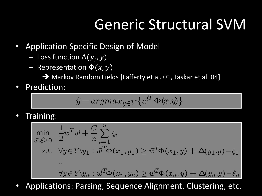#### Generic Structural SVM

- Application Specific Design of Model
	- $-$  Loss function  $\Delta(y^{\phantom{\dagger}}_i,y)$
	- Representation  $\Phi(x, y)$ 
		- → Markov Random Fields [Lafferty et al. 01, Taskar et al. 04]
- Prediction:

$$
\hat{y} = argmax_{y \in Y} \{ \vec{w}^T \Phi(x, y) \}
$$

• Training:

$$
\min_{\vec{w}, \vec{\xi} \ge 0} \frac{1}{2} \vec{w}^T \vec{w} + \frac{C}{n} \sum_{i=1}^n \xi_i
$$
\n
$$
s.t. \forall y \in Y \setminus y_1 : \vec{w}^T \Phi(x_1, y_1) \ge \vec{w}^T \Phi(x_1, y) + \Delta(y_1, y) - \xi_1
$$
\n
$$
\dots
$$
\n
$$
\forall y \in Y \setminus y_n : \vec{w}^T \Phi(x_n, y_n) \ge \vec{w}^T \Phi(x_n, y) + \Delta(y_n, y) - \xi_n
$$

• Applications: Parsing, Sequence Alignment, Clustering, etc.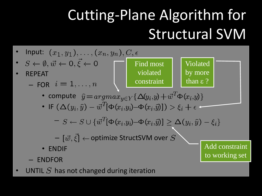# Cutting-Plane Algorithm for Structural SVM

- Input:  $(x_1,y_1),\ldots,(x_n,y_n),C,\epsilon$  $S \leftarrow \emptyset, \vec{w} \leftarrow 0, \vec{\xi} \leftarrow 0$ • Violated Find most violated by more • REPEAT constraint than  $\varepsilon$  ?  $-$  FOR  $i=1,\ldots,n$ 
	- compute  $\hat{y} = argmax_{y \in Y} {\{\Delta(y_i, y) + \vec{w}^T \Phi(x_i, y)\}}$
	- IF  $(\Delta(y_i, \hat{y}) \vec{w}^T [\Phi(x_i, y_i) \Phi(x_i, \hat{y})]) > \xi_i + \epsilon$

$$
= S \leftarrow S \cup \{\vec{w}^T[\Phi(x_i, y_i) - \Phi(x_i, \hat{y})] \geq \Delta(y_i, \hat{y}) - \xi_i\}
$$

$$
- \ [\vec{w}, \vec{\xi}] \gets \textsf{optimize StructuresVM over } S
$$

• ENDIF

– ENDFOR

UNTIL  $S$  has not changed during iteration

Add constraint to working set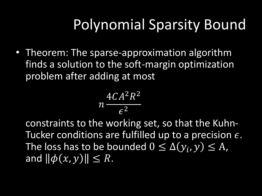#### Polynomial Sparsity Bound

• Theorem: The sparse-approximation algorithm finds a solution to the soft-margin optimization problem after adding at most

$$
n\frac{4CA^2R^2}{\epsilon^2}
$$

constraints to the working set, so that the Kuhn-Tucker conditions are fulfilled up to a precision  $\epsilon$ . The loss has to be bounded  $0 \leq \Delta(y_i, y) \leq A$ , and  $\|\phi(x, y)\| \leq R$ .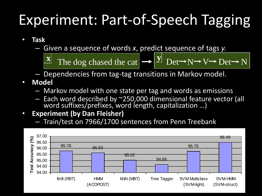### Experiment: Part-of-Speech Tagging

- **Task**
	- Given a sequence of words *x*, predict sequence of tags *y.*

 $\mathbf{X}$  The dog chased the cat

$$
\blacktriangleright \boxed{y} \quad \text{Det} \rightarrow N \rightarrow V \rightarrow \text{Det} \rightarrow N
$$

- Dependencies from tag-tag transitions in Markov model.
- **Model**
	- Markov model with one state per tag and words as emissions
	- Each word described by ~250,000 dimensional feature vector (all word suffixes/prefixes, word length, capitalization ...)
- **Experiment (by Dan Fleisher)**
	- Train/test on 7966/1700 sentences from Penn Treebank

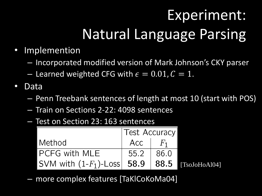# Experiment: Natural Language Parsing

- Implemention
	- Incorporated modified version of Mark Johnson's CKY parser
	- Learned weighted CFG with  $\epsilon = 0.01, C = 1$ .
- Data
	- Penn Treebank sentences of length at most 10 (start with POS)
	- Train on Sections 2-22: 4098 sentences
	- Test on Section 23: 163 sentences

|                                                                                 | <b>Test Accuracy</b> |                |  |
|---------------------------------------------------------------------------------|----------------------|----------------|--|
| Method                                                                          | Acc                  | H <sub>1</sub> |  |
| <b>IPCFG with MLE</b>                                                           | 55.2                 | 86.0           |  |
| $\vert$ SVM with $(1-F_1)$ -Loss $\vert$ 58.9 $\vert$ 88.5 $\vert$ TsoJoHoA104] |                      |                |  |

– more complex features [TaKlCoKoMa04]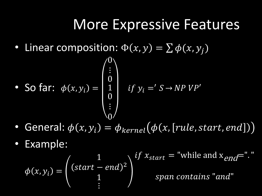#### More Expressive Features

• Linear composition:  $\Phi(x, y) = \sum \phi(x, y_j)$ 

0

- So far:  $\phi(x, y_i) =$  $\ddot{\bullet}$ 0 1 0  $\ddot{\bullet}$ 0 if  $y_i = 'S \rightarrow NP VP'$
- General:  $\phi(x, y_i) = \phi_{\text{kernel}}(\phi(x, [\text{rule}, \text{start}, \text{end}]))$
- Example:

$$
\phi(x, y_i) = \begin{pmatrix} 1 & \text{if } x_{start} = \text{"while and } x_{end} = \text{"...]}\frac{1}{i} & span contains "and"
$$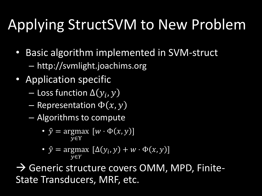#### Applying StructSVM to New Problem

- Basic algorithm implemented in SVM-struct – http://svmlight.joachims.org
- Application specific
	- $-$  Loss function  $\Delta (y_i, y)$
	- Representation  $\Phi(x, y)$
	- Algorithms to compute
		- $\hat{y}$  = argmax  $[w \cdot \Phi(x, y)]$  $v \in Y$
		- $\hat{y}$  = argmax  $[\Delta(y_i, y) + w \cdot \Phi(x, y)]$  $y \in Y$

 $\rightarrow$  Generic structure covers OMM, MPD, Finite-State Transducers, MRF, etc.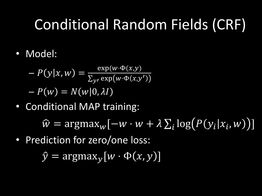### Conditional Random Fields (CRF)

Model:

$$
-P(y|x, w) = \frac{\exp(w \cdot \Phi(x, y))}{\sum_{y'} \exp(w \cdot \Phi(x, y'))}
$$

 $-P(w) = N(w|0, \lambda I)$ 

• Conditional MAP training:

 $\widehat{w} = \text{argmax}_{w} [-w \cdot w + \lambda \sum_{i} \log(P(y_i | x_i, w))]$ 

• Prediction for zero/one loss:

 $\hat{y} = \text{argmax}_{y} [w \cdot \Phi(x, y)]$